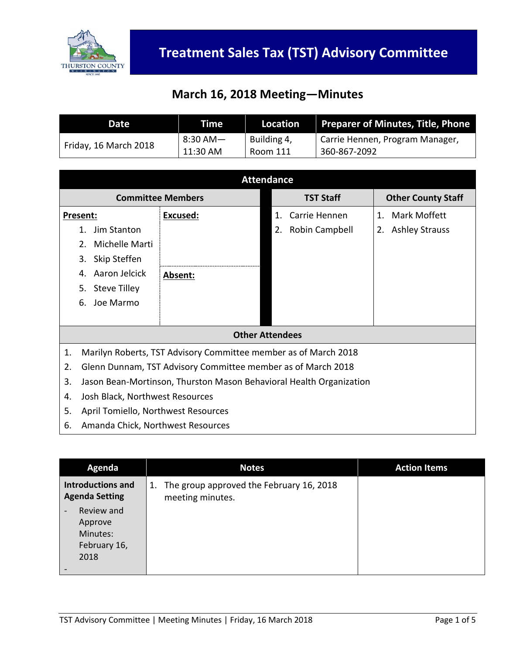

## **March 16, 2018 Meeting—Minutes**

| Date                  | Time     | Location    | <b>Preparer of Minutes, Title, Phone</b> |
|-----------------------|----------|-------------|------------------------------------------|
|                       | 8:30 AM— | Building 4, | Carrie Hennen, Program Manager,          |
| Friday, 16 March 2018 | 11:30 AM | Room 111    | 360-867-2092                             |

| <b>Attendance</b>                                                         |                                   |                      |                             |  |
|---------------------------------------------------------------------------|-----------------------------------|----------------------|-----------------------------|--|
| <b>Committee Members</b>                                                  |                                   | <b>TST Staff</b>     | <b>Other County Staff</b>   |  |
| Present:                                                                  | Excused:                          | Carrie Hennen<br>1.  | Mark Moffett<br>$1_{\cdot}$ |  |
| Jim Stanton<br>1.                                                         |                                   | Robin Campbell<br>2. | 2. Ashley Strauss           |  |
| Michelle Marti<br>2.                                                      |                                   |                      |                             |  |
| Skip Steffen<br>3.                                                        |                                   |                      |                             |  |
| Aaron Jelcick<br>4.                                                       | Absent:                           |                      |                             |  |
| <b>Steve Tilley</b><br>5.                                                 |                                   |                      |                             |  |
| Joe Marmo<br>6.                                                           |                                   |                      |                             |  |
|                                                                           |                                   |                      |                             |  |
| <b>Other Attendees</b>                                                    |                                   |                      |                             |  |
| 1.<br>Marilyn Roberts, TST Advisory Committee member as of March 2018     |                                   |                      |                             |  |
| Glenn Dunnam, TST Advisory Committee member as of March 2018<br>2.        |                                   |                      |                             |  |
| 3.<br>Jason Bean-Mortinson, Thurston Mason Behavioral Health Organization |                                   |                      |                             |  |
| Josh Black, Northwest Resources<br>4.                                     |                                   |                      |                             |  |
| April Tomiello, Northwest Resources<br>5.                                 |                                   |                      |                             |  |
| 6.                                                                        | Amanda Chick, Northwest Resources |                      |                             |  |

| Agenda                                                                                | <b>Notes</b>                                                       | <b>Action Items</b> |
|---------------------------------------------------------------------------------------|--------------------------------------------------------------------|---------------------|
| <b>Introductions and</b><br><b>Agenda Setting</b>                                     | The group approved the February 16, 2018<br>1.<br>meeting minutes. |                     |
| Review and<br>$\overline{\phantom{a}}$<br>Approve<br>Minutes:<br>February 16,<br>2018 |                                                                    |                     |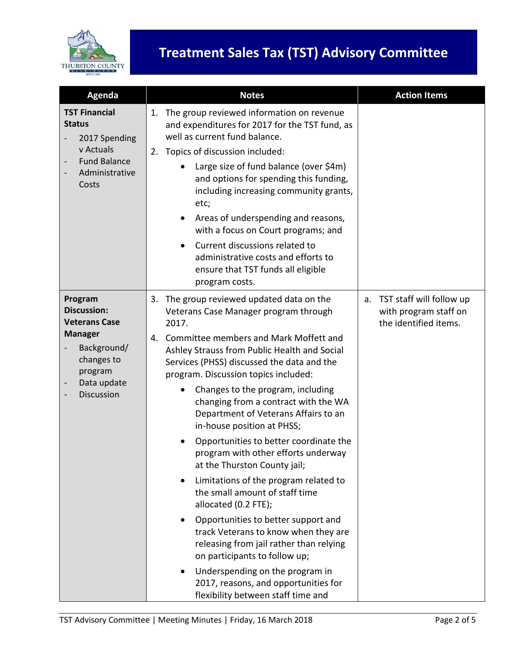

| Agenda                                                                                                                                       | <b>Notes</b>                                                                                                                                                                                                                                                                                                                                                                                                                                                                                                                                                                                                                                                                                                                                                                                                                                          | <b>Action Items</b>                                                              |
|----------------------------------------------------------------------------------------------------------------------------------------------|-------------------------------------------------------------------------------------------------------------------------------------------------------------------------------------------------------------------------------------------------------------------------------------------------------------------------------------------------------------------------------------------------------------------------------------------------------------------------------------------------------------------------------------------------------------------------------------------------------------------------------------------------------------------------------------------------------------------------------------------------------------------------------------------------------------------------------------------------------|----------------------------------------------------------------------------------|
| <b>TST Financial</b><br><b>Status</b><br>2017 Spending<br>v Actuals<br><b>Fund Balance</b><br>Administrative<br>Costs                        | The group reviewed information on revenue<br>1.<br>and expenditures for 2017 for the TST fund, as<br>well as current fund balance.<br>Topics of discussion included:<br>2.<br>Large size of fund balance (over \$4m)<br>and options for spending this funding,<br>including increasing community grants,<br>etc;<br>Areas of underspending and reasons,<br>$\bullet$<br>with a focus on Court programs; and<br>Current discussions related to<br>$\bullet$<br>administrative costs and efforts to<br>ensure that TST funds all eligible<br>program costs.                                                                                                                                                                                                                                                                                             |                                                                                  |
| Program<br><b>Discussion:</b><br><b>Veterans Case</b><br><b>Manager</b><br>Background/<br>changes to<br>program<br>Data update<br>Discussion | The group reviewed updated data on the<br>3.<br>Veterans Case Manager program through<br>2017.<br>Committee members and Mark Moffett and<br>4.<br>Ashley Strauss from Public Health and Social<br>Services (PHSS) discussed the data and the<br>program. Discussion topics included:<br>Changes to the program, including<br>$\bullet$<br>changing from a contract with the WA<br>Department of Veterans Affairs to an<br>in-house position at PHSS;<br>Opportunities to better coordinate the<br>program with other efforts underway<br>at the Thurston County jail;<br>Limitations of the program related to<br>$\bullet$<br>the small amount of staff time<br>allocated (0.2 FTE);<br>Opportunities to better support and<br>٠<br>track Veterans to know when they are<br>releasing from jail rather than relying<br>on participants to follow up; | TST staff will follow up<br>a.<br>with program staff on<br>the identified items. |
|                                                                                                                                              | Underspending on the program in<br>$\bullet$<br>2017, reasons, and opportunities for<br>flexibility between staff time and                                                                                                                                                                                                                                                                                                                                                                                                                                                                                                                                                                                                                                                                                                                            |                                                                                  |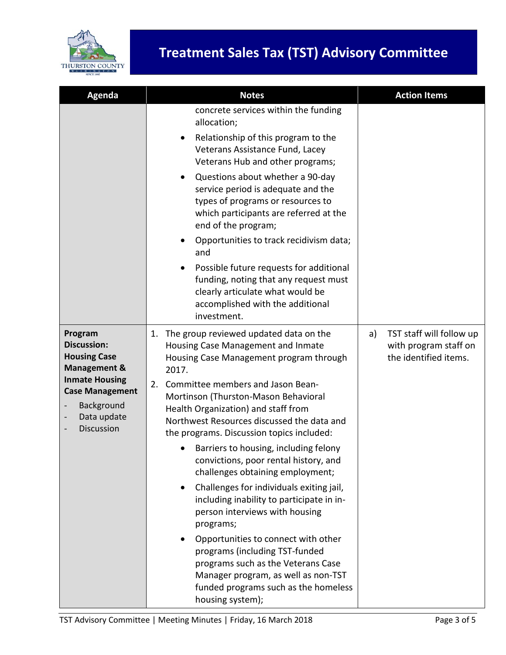

| Agenda                                                                                                                                                                        | <b>Notes</b>                                                                                                                                                                                                                                                                                                                                                                                                                                                                                                                                                                                                                                                                                                                                                                                                                                | <b>Action Items</b>                                                              |
|-------------------------------------------------------------------------------------------------------------------------------------------------------------------------------|---------------------------------------------------------------------------------------------------------------------------------------------------------------------------------------------------------------------------------------------------------------------------------------------------------------------------------------------------------------------------------------------------------------------------------------------------------------------------------------------------------------------------------------------------------------------------------------------------------------------------------------------------------------------------------------------------------------------------------------------------------------------------------------------------------------------------------------------|----------------------------------------------------------------------------------|
|                                                                                                                                                                               | concrete services within the funding<br>allocation;<br>Relationship of this program to the<br>Veterans Assistance Fund, Lacey<br>Veterans Hub and other programs;<br>Questions about whether a 90-day<br>service period is adequate and the<br>types of programs or resources to<br>which participants are referred at the<br>end of the program;<br>Opportunities to track recidivism data;<br>and<br>Possible future requests for additional<br>funding, noting that any request must<br>clearly articulate what would be<br>accomplished with the additional<br>investment.                                                                                                                                                                                                                                                              |                                                                                  |
| Program<br><b>Discussion:</b><br><b>Housing Case</b><br><b>Management &amp;</b><br><b>Inmate Housing</b><br><b>Case Management</b><br>Background<br>Data update<br>Discussion | The group reviewed updated data on the<br>1.<br>Housing Case Management and Inmate<br>Housing Case Management program through<br>2017.<br>Committee members and Jason Bean-<br>2.<br>Mortinson (Thurston-Mason Behavioral<br>Health Organization) and staff from<br>Northwest Resources discussed the data and<br>the programs. Discussion topics included:<br>Barriers to housing, including felony<br>convictions, poor rental history, and<br>challenges obtaining employment;<br>Challenges for individuals exiting jail,<br>including inability to participate in in-<br>person interviews with housing<br>programs;<br>Opportunities to connect with other<br>programs (including TST-funded<br>programs such as the Veterans Case<br>Manager program, as well as non-TST<br>funded programs such as the homeless<br>housing system); | TST staff will follow up<br>a)<br>with program staff on<br>the identified items. |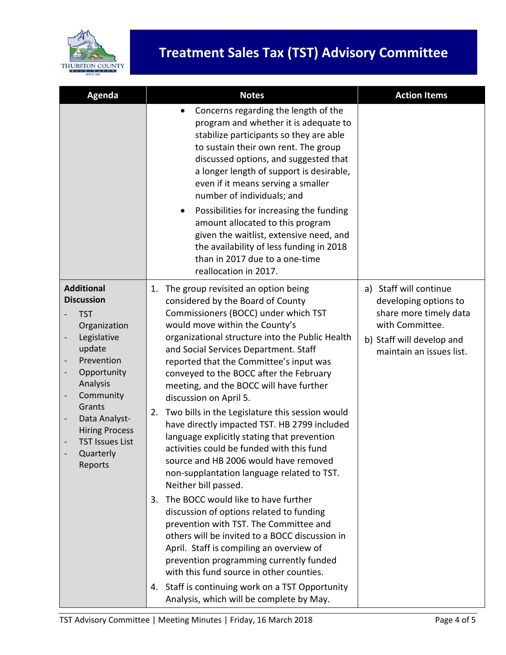

## **Treatment Sales Tax (TST) Advisory Committee**

| Agenda                                                                                                    | <b>Notes</b>                                                                                                                                                                                                                                                                                                                           | <b>Action Items</b>                                                                                |
|-----------------------------------------------------------------------------------------------------------|----------------------------------------------------------------------------------------------------------------------------------------------------------------------------------------------------------------------------------------------------------------------------------------------------------------------------------------|----------------------------------------------------------------------------------------------------|
|                                                                                                           | Concerns regarding the length of the<br>$\bullet$<br>program and whether it is adequate to<br>stabilize participants so they are able<br>to sustain their own rent. The group<br>discussed options, and suggested that<br>a longer length of support is desirable,<br>even if it means serving a smaller<br>number of individuals; and |                                                                                                    |
|                                                                                                           | Possibilities for increasing the funding<br>$\bullet$<br>amount allocated to this program<br>given the waitlist, extensive need, and<br>the availability of less funding in 2018<br>than in 2017 due to a one-time<br>reallocation in 2017.                                                                                            |                                                                                                    |
| <b>Additional</b><br><b>Discussion</b>                                                                    | 1.<br>The group revisited an option being<br>considered by the Board of County                                                                                                                                                                                                                                                         | a) Staff will continue<br>developing options to                                                    |
| <b>TST</b><br>Organization<br>Legislative<br>update<br>Prevention<br>Opportunity<br>Analysis<br>Community | Commissioners (BOCC) under which TST<br>would move within the County's<br>organizational structure into the Public Health<br>and Social Services Department. Staff<br>reported that the Committee's input was<br>conveyed to the BOCC after the February<br>meeting, and the BOCC will have further<br>discussion on April 5.          | share more timely data<br>with Committee.<br>b) Staff will develop and<br>maintain an issues list. |
| Grants<br>2.<br>Data Analyst-<br><b>Hiring Process</b><br><b>TST Issues List</b><br>Quarterly<br>Reports  | Two bills in the Legislature this session would<br>have directly impacted TST. HB 2799 included<br>language explicitly stating that prevention<br>activities could be funded with this fund<br>source and HB 2006 would have removed<br>non-supplantation language related to TST.<br>Neither bill passed.                             |                                                                                                    |
|                                                                                                           | The BOCC would like to have further<br>3.<br>discussion of options related to funding<br>prevention with TST. The Committee and<br>others will be invited to a BOCC discussion in<br>April. Staff is compiling an overview of<br>prevention programming currently funded<br>with this fund source in other counties.                   |                                                                                                    |
|                                                                                                           | Staff is continuing work on a TST Opportunity<br>4.<br>Analysis, which will be complete by May.                                                                                                                                                                                                                                        |                                                                                                    |